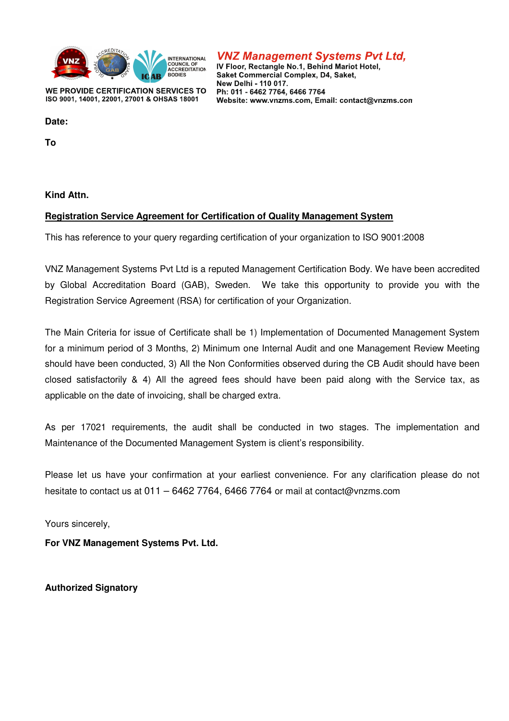

WE PROVIDE CERTIFICATION SERVICES TO ISO 9001, 14001, 22001, 27001 & OHSAS 18001

## **VNZ Management Systems Pvt Ltd,**

IV Floor, Rectangle No.1, Behind Mariot Hotel, Saket Commercial Complex, D4, Saket, New Delhi - 110 017. Ph: 011 - 6462 7764, 6466 7764 Website: www.vnzms.com. Email: contact@vnzms.com

Date:

**To** 

**Kind Attn.** 

#### **Registration Service Agreement for Certification of Quality Management System**

This has reference to your query regarding certification of your organization to ISO 9001:2008

VNZ Management Systems Pvt Ltd is a reputed Management Certification Body. We have been accredited by Global Accreditation Board (GAB), Sweden. We take this opportunity to provide you with the Registration Service Agreement (RSA) for certification of your Organization.

The Main Criteria for issue of Certificate shall be 1) Implementation of Documented Management System for a minimum period of 3 Months, 2) Minimum one Internal Audit and one Management Review Meeting should have been conducted, 3) All the Non Conformities observed during the CB Audit should have been closed satisfactorily & 4) All the agreed fees should have been paid along with the Service tax, as applicable on the date of invoicing, shall be charged extra.

As per 17021 requirements, the audit shall be conducted in two stages. The implementation and Maintenance of the Documented Management System is client's responsibility.

Please let us have your confirmation at your earliest convenience. For any clarification please do not hesitate to contact us at 011 – 6462 7764, 6466 7764 or mail at contact@vnzms.com

Yours sincerely,

**For VNZ Management Systems Pvt. Ltd.** 

**Authorized Signatory**